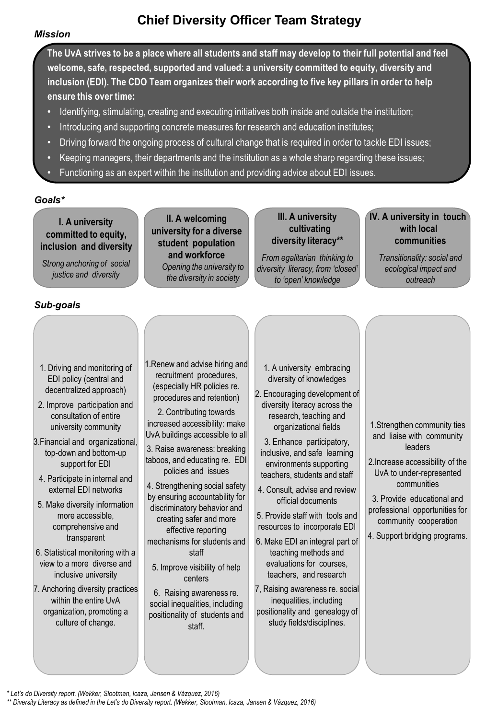### *Mission*

# **Chief Diversity Officer Team Strategy**

**The UvA strives to be a place where all students and staff may develop to their full potential and feel welcome, safe, respected, supported and valued: a university committed to equity, diversity and inclusion (EDI). The CDO Team organizes their work according to five key pillars in order to help ensure this over time:**

- Identifying, stimulating, creating and executing initiatives both inside and outside the institution;
- Introducing and supporting concrete measures for research and education institutes;
- Driving forward the ongoing process of cultural change that is required in order to tackle EDI issues;
- Keeping managers, their departments and the institution as a whole sharp regarding these issues;
- Functioning as an expert within the institution and providing advice about EDI issues.

### *Goals\**

**I. A university committed to equity, inclusion and diversity**

*Strong anchoring of social justice and diversity*

**II. A welcoming university for a diverse student population and workforce** *Opening the university to the diversity in society*

**III. A university cultivating diversity literacy\*\***

*From egalitarian thinking to diversity literacy, from 'closed' to 'open' knowledge*

**IV. A university in touch with local communities**

*Transitionality: social and ecological impact and outreach*

### *Sub-goals*

- 1. Driving and monitoring of EDI policy (central and decentralized approach)
- 2. Improve participation and consultation of entire university community
- 3.Financial and organizational, top-down and bottom-up support for EDI
- 4. Participate in internal and external EDI networks
- 5. Make diversity information more accessible, comprehensive and transparent
- 6. Statistical monitoring with a view to a more diverse and inclusive university
- 7. Anchoring diversity practices within the entire UvA organization, promoting a culture of change.

1.Renew and advise hiring and recruitment procedures, (especially HR policies re. procedures and retention)

2. Contributing towards increased accessibility: make UvA buildings accessible to all

3. Raise awareness: breaking taboos, and educating re. EDI policies and issues

4. Strengthening social safety by ensuring accountability for discriminatory behavior and creating safer and more effective reporting mechanisms for students and

staff

5. Improve visibility of help centers

6. Raising awareness re. social inequalities, including positionality of students and staff.

- 1. A university embracing diversity of knowledges
- 2. Encouraging development of diversity literacy across the research, teaching and organizational fields

3. Enhance participatory, inclusive, and safe learning environments supporting teachers, students and staff

4. Consult, advise and review official documents

5. Provide staff with tools and resources to incorporate EDI

6. Make EDI an integral part of teaching methods and evaluations for courses, teachers, and research

7, Raising awareness re. social inequalities, including positionality and genealogy of study fields/disciplines.

- 1.Strengthen community ties and liaise with community leaders
- 2.Increase accessibility of the UvA to under-represented communities

3. Provide educational and professional opportunities for

community cooperation

4. Support bridging programs.

*\* Let's do Diversity report. (Wekker, Slootman, Icaza, Jansen & Vázquez, 2016) \*\* Diversity Literacy as defined in the Let's do Diversity report. (Wekker, Slootman, Icaza, Jansen & Vázquez, 2016)*